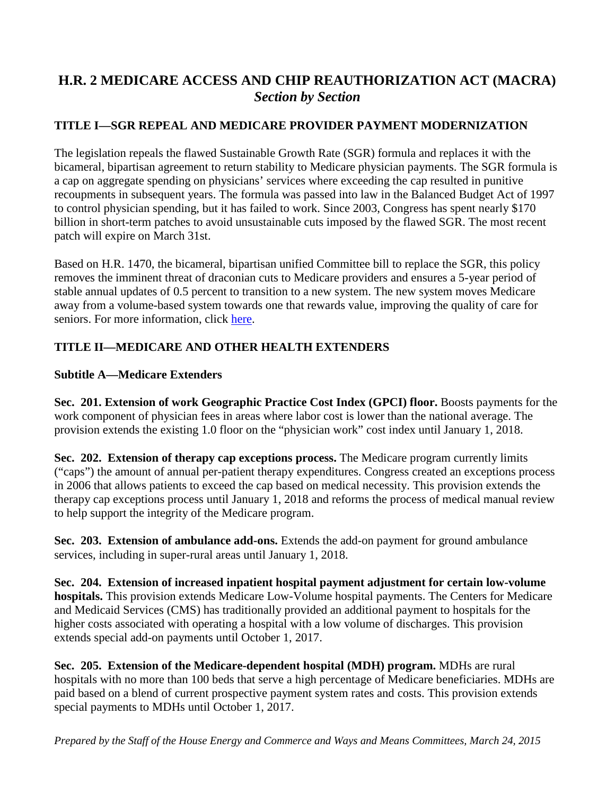# **H.R. 2 MEDICARE ACCESS AND CHIP REAUTHORIZATION ACT (MACRA)** *Section by Section*

# **TITLE I—SGR REPEAL AND MEDICARE PROVIDER PAYMENT MODERNIZATION**

The legislation repeals the flawed Sustainable Growth Rate (SGR) formula and replaces it with the bicameral, bipartisan agreement to return stability to Medicare physician payments. The SGR formula is a cap on aggregate spending on physicians' services where exceeding the cap resulted in punitive recoupments in subsequent years. The formula was passed into law in the Balanced Budget Act of 1997 to control physician spending, but it has failed to work. Since 2003, Congress has spent nearly \$170 billion in short-term patches to avoid unsustainable cuts imposed by the flawed SGR. The most recent patch will expire on March 31st.

Based on H.R. 1470, the bicameral, bipartisan unified Committee bill to replace the SGR, this policy removes the imminent threat of draconian cuts to Medicare providers and ensures a 5-year period of stable annual updates of 0.5 percent to transition to a new system. The new system moves Medicare away from a volume-based system towards one that rewards value, improving the quality of care for seniors. For more information, click [here.](http://energycommerce.house.gov/sites/republicans.energycommerce.house.gov/files/114/Analysis/20150319SGRSectionbySection.pdf)

### **TITLE II—MEDICARE AND OTHER HEALTH EXTENDERS**

#### **Subtitle A—Medicare Extenders**

**Sec. 201. Extension of work Geographic Practice Cost Index (GPCI) floor.** Boosts payments for the work component of physician fees in areas where labor cost is lower than the national average. The provision extends the existing 1.0 floor on the "physician work" cost index until January 1, 2018.

**Sec. 202. Extension of therapy cap exceptions process.** The Medicare program currently limits ("caps") the amount of annual per-patient therapy expenditures. Congress created an exceptions process in 2006 that allows patients to exceed the cap based on medical necessity. This provision extends the therapy cap exceptions process until January 1, 2018 and reforms the process of medical manual review to help support the integrity of the Medicare program.

**Sec. 203. Extension of ambulance add-ons.** Extends the add-on payment for ground ambulance services, including in super-rural areas until January 1, 2018.

**Sec. 204. Extension of increased inpatient hospital payment adjustment for certain low-volume hospitals.** This provision extends Medicare Low-Volume hospital payments. The Centers for Medicare and Medicaid Services (CMS) has traditionally provided an additional payment to hospitals for the higher costs associated with operating a hospital with a low volume of discharges. This provision extends special add-on payments until October 1, 2017.

**Sec. 205. Extension of the Medicare-dependent hospital (MDH) program.** MDHs are rural hospitals with no more than 100 beds that serve a high percentage of Medicare beneficiaries. MDHs are paid based on a blend of current prospective payment system rates and costs. This provision extends special payments to MDHs until October 1, 2017.

*Prepared by the Staff of the House Energy and Commerce and Ways and Means Committees, March 24, 2015*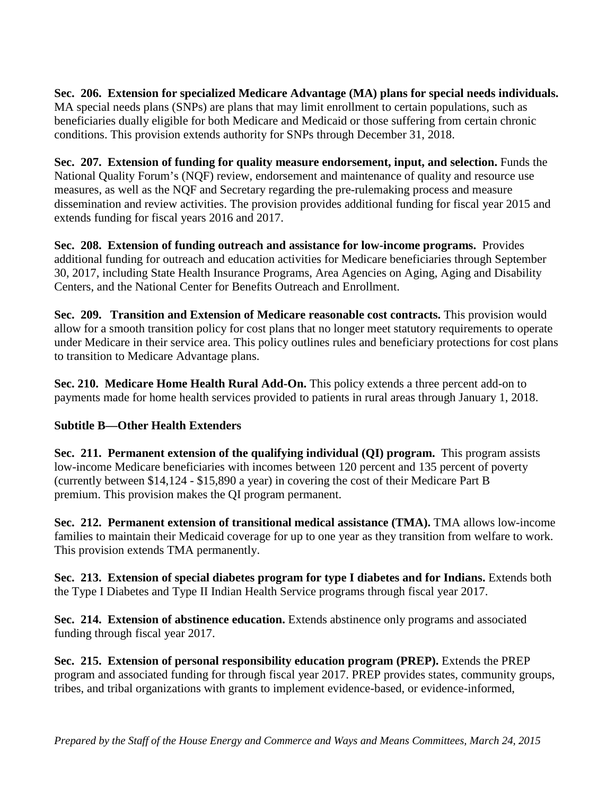**Sec. 206. Extension for specialized Medicare Advantage (MA) plans for special needs individuals.** MA special needs plans (SNPs) are plans that may limit enrollment to certain populations, such as beneficiaries dually eligible for both Medicare and Medicaid or those suffering from certain chronic conditions. This provision extends authority for SNPs through December 31, 2018.

**Sec. 207. Extension of funding for quality measure endorsement, input, and selection.** Funds the National Quality Forum's (NQF) review, endorsement and maintenance of quality and resource use measures, as well as the NQF and Secretary regarding the pre-rulemaking process and measure dissemination and review activities. The provision provides additional funding for fiscal year 2015 and extends funding for fiscal years 2016 and 2017.

**Sec. 208. Extension of funding outreach and assistance for low-income programs.** Provides additional funding for outreach and education activities for Medicare beneficiaries through September 30, 2017, including State Health Insurance Programs, Area Agencies on Aging, Aging and Disability Centers, and the National Center for Benefits Outreach and Enrollment.

**Sec. 209. Transition and Extension of Medicare reasonable cost contracts.** This provision would allow for a smooth transition policy for cost plans that no longer meet statutory requirements to operate under Medicare in their service area. This policy outlines rules and beneficiary protections for cost plans to transition to Medicare Advantage plans.

**Sec. 210. Medicare Home Health Rural Add-On.** This policy extends a three percent add-on to payments made for home health services provided to patients in rural areas through January 1, 2018.

### **Subtitle B—Other Health Extenders**

**Sec. 211. Permanent extension of the qualifying individual (QI) program.** This program assists low-income Medicare beneficiaries with incomes between 120 percent and 135 percent of poverty (currently between \$14,124 - \$15,890 a year) in covering the cost of their Medicare Part B premium. This provision makes the QI program permanent.

**Sec. 212. Permanent extension of transitional medical assistance (TMA).** TMA allows low-income families to maintain their Medicaid coverage for up to one year as they transition from welfare to work. This provision extends TMA permanently.

**Sec. 213. Extension of special diabetes program for type I diabetes and for Indians.** Extends both the Type I Diabetes and Type II Indian Health Service programs through fiscal year 2017.

**Sec. 214. Extension of abstinence education.** Extends abstinence only programs and associated funding through fiscal year 2017.

**Sec. 215. Extension of personal responsibility education program (PREP).** Extends the PREP program and associated funding for through fiscal year 2017. PREP provides states, community groups, tribes, and tribal organizations with grants to implement evidence-based, or evidence-informed,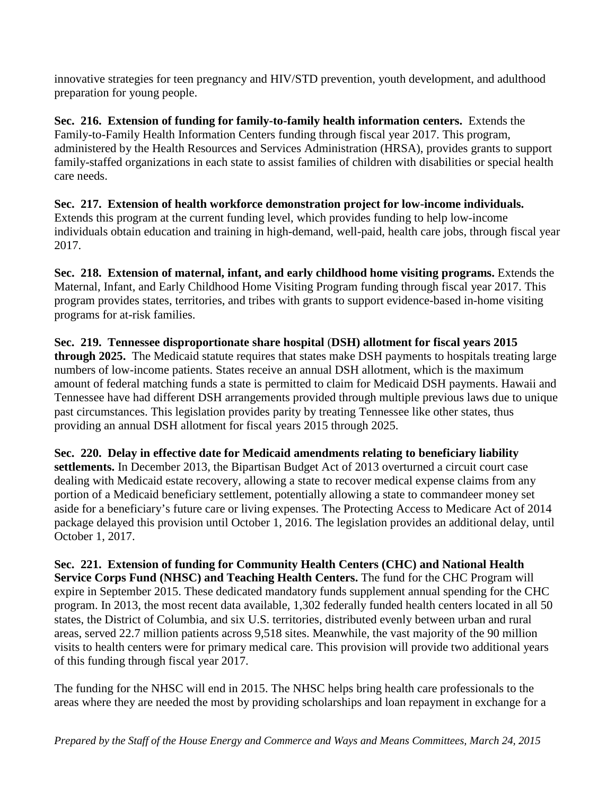innovative strategies for teen pregnancy and HIV/STD prevention, youth development, and adulthood preparation for young people.

**Sec. 216. Extension of funding for family-to-family health information centers.** Extends the Family-to-Family Health Information Centers funding through fiscal year 2017. This program, administered by the Health Resources and Services Administration (HRSA), provides grants to support family-staffed organizations in each state to assist families of children with disabilities or special health care needs.

**Sec. 217. Extension of health workforce demonstration project for low-income individuals.** Extends this program at the current funding level, which provides funding to help low-income individuals obtain education and training in high-demand, well-paid, health care jobs, through fiscal year 2017.

**Sec. 218. Extension of maternal, infant, and early childhood home visiting programs.** Extends the Maternal, Infant, and Early Childhood Home Visiting Program funding through fiscal year 2017. This program provides states, territories, and tribes with grants to support evidence-based in-home visiting programs for at-risk families.

**Sec. 219. Tennessee disproportionate share hospital** (**DSH) allotment for fiscal years 2015 through 2025.** The Medicaid statute requires that states make DSH payments to hospitals treating large numbers of low-income patients. States receive an annual DSH allotment, which is the maximum amount of federal matching funds a state is permitted to claim for Medicaid DSH payments. Hawaii and Tennessee have had different DSH arrangements provided through multiple previous laws due to unique past circumstances. This legislation provides parity by treating Tennessee like other states, thus providing an annual DSH allotment for fiscal years 2015 through 2025.

**Sec. 220. Delay in effective date for Medicaid amendments relating to beneficiary liability settlements.** In December 2013, the Bipartisan Budget Act of 2013 overturned a circuit court case dealing with Medicaid estate recovery, allowing a state to recover medical expense claims from any portion of a Medicaid beneficiary settlement, potentially allowing a state to commandeer money set aside for a beneficiary's future care or living expenses. The Protecting Access to Medicare Act of 2014 package delayed this provision until October 1, 2016. The legislation provides an additional delay, until October 1, 2017.

**Sec. 221. Extension of funding for Community Health Centers (CHC) and National Health Service Corps Fund (NHSC) and Teaching Health Centers.** The fund for the CHC Program will expire in September 2015. These dedicated mandatory funds supplement annual spending for the CHC program. In 2013, the most recent data available, 1,302 federally funded health centers located in all 50 states, the District of Columbia, and six U.S. territories, distributed evenly between urban and rural areas, served 22.7 million patients across 9,518 sites. Meanwhile, the vast majority of the 90 million visits to health centers were for primary medical care. This provision will provide two additional years of this funding through fiscal year 2017.

The funding for the NHSC will end in 2015. The NHSC helps bring health care professionals to the areas where they are needed the most by providing scholarships and loan repayment in exchange for a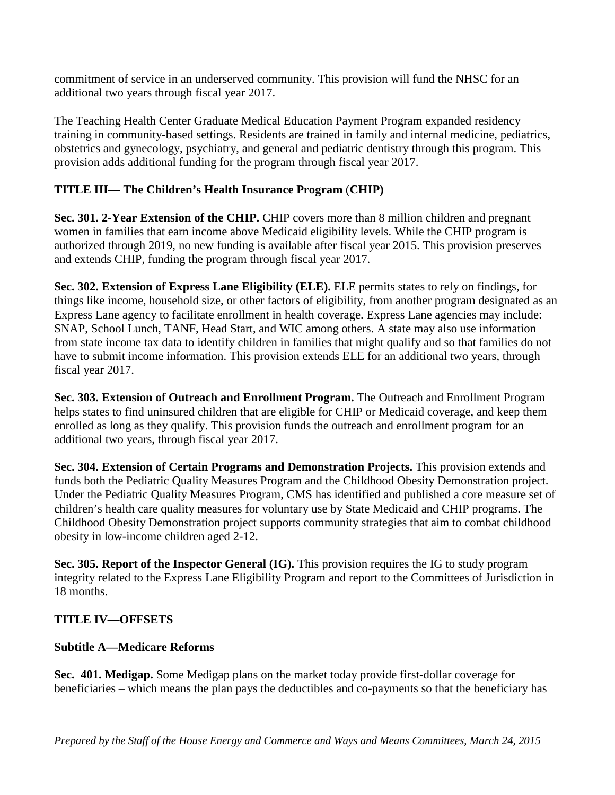commitment of service in an underserved community. This provision will fund the NHSC for an additional two years through fiscal year 2017.

The Teaching Health Center Graduate Medical Education Payment Program expanded residency training in community-based settings. Residents are trained in family and internal medicine, pediatrics, obstetrics and gynecology, psychiatry, and general and pediatric dentistry through this program. This provision adds additional funding for the program through fiscal year 2017.

### **TITLE III— The Children's Health Insurance Program** (**CHIP)**

**Sec. 301. 2-Year Extension of the CHIP.** CHIP covers more than 8 million children and pregnant women in families that earn income above Medicaid eligibility levels. While the CHIP program is authorized through 2019, no new funding is available after fiscal year 2015. This provision preserves and extends CHIP, funding the program through fiscal year 2017.

**Sec. 302. Extension of Express Lane Eligibility (ELE).** ELE permits states to rely on findings, for things like income, household size, or other factors of eligibility, from another program designated as an Express Lane agency to facilitate enrollment in health coverage. Express Lane agencies may include: SNAP, School Lunch, TANF, Head Start, and WIC among others. A state may also use information from state income tax data to identify children in families that might qualify and so that families do not have to submit income information. This provision extends ELE for an additional two years, through fiscal year 2017.

**Sec. 303. Extension of Outreach and Enrollment Program.** The Outreach and Enrollment Program helps states to find uninsured children that are eligible for CHIP or Medicaid coverage, and keep them enrolled as long as they qualify. This provision funds the outreach and enrollment program for an additional two years, through fiscal year 2017.

**Sec. 304. Extension of Certain Programs and Demonstration Projects.** This provision extends and funds both the Pediatric Quality Measures Program and the Childhood Obesity Demonstration project. Under the Pediatric Quality Measures Program, CMS has identified and published a core measure set of children's health care quality measures for voluntary use by State Medicaid and CHIP programs. The Childhood Obesity Demonstration project supports community strategies that aim to combat childhood obesity in low-income children aged 2-12.

**Sec. 305. Report of the Inspector General (IG).** This provision requires the IG to study program integrity related to the Express Lane Eligibility Program and report to the Committees of Jurisdiction in 18 months.

### **TITLE IV—OFFSETS**

#### **Subtitle A—Medicare Reforms**

**Sec. 401. Medigap.** Some Medigap plans on the market today provide first-dollar coverage for beneficiaries – which means the plan pays the deductibles and co-payments so that the beneficiary has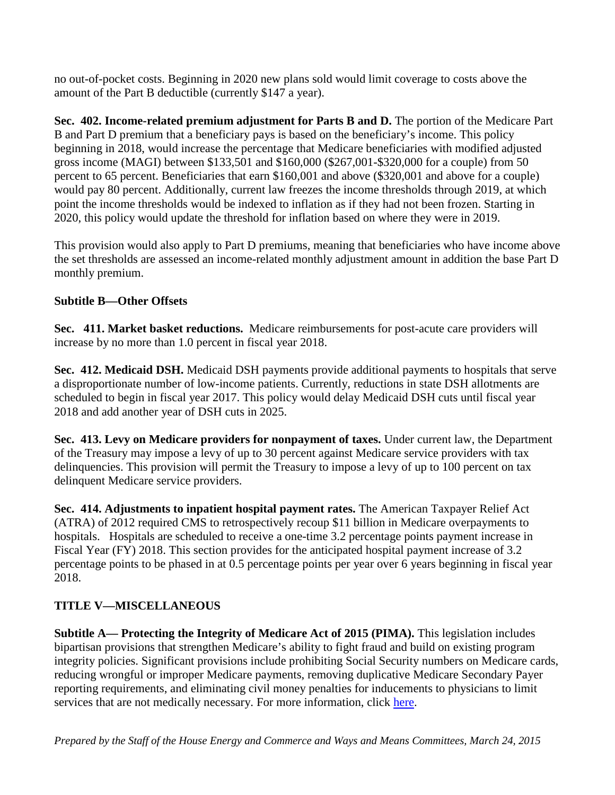no out-of-pocket costs. Beginning in 2020 new plans sold would limit coverage to costs above the amount of the Part B deductible (currently \$147 a year).

**Sec. 402. Income-related premium adjustment for Parts B and D.** The portion of the Medicare Part B and Part D premium that a beneficiary pays is based on the beneficiary's income. This policy beginning in 2018, would increase the percentage that Medicare beneficiaries with modified adjusted gross income (MAGI) between \$133,501 and \$160,000 (\$267,001-\$320,000 for a couple) from 50 percent to 65 percent. Beneficiaries that earn \$160,001 and above (\$320,001 and above for a couple) would pay 80 percent. Additionally, current law freezes the income thresholds through 2019, at which point the income thresholds would be indexed to inflation as if they had not been frozen. Starting in 2020, this policy would update the threshold for inflation based on where they were in 2019.

This provision would also apply to Part D premiums, meaning that beneficiaries who have income above the set thresholds are assessed an income-related monthly adjustment amount in addition the base Part D monthly premium.

# **Subtitle B—Other Offsets**

**Sec. 411. Market basket reductions.** Medicare reimbursements for post-acute care providers will increase by no more than 1.0 percent in fiscal year 2018.

**Sec. 412. Medicaid DSH.** Medicaid DSH payments provide additional payments to hospitals that serve a disproportionate number of low-income patients. Currently, reductions in state DSH allotments are scheduled to begin in fiscal year 2017. This policy would delay Medicaid DSH cuts until fiscal year 2018 and add another year of DSH cuts in 2025.

**Sec. 413. Levy on Medicare providers for nonpayment of taxes.** Under current law, the Department of the Treasury may impose a levy of up to 30 percent against Medicare service providers with tax delinquencies. This provision will permit the Treasury to impose a levy of up to 100 percent on tax delinquent Medicare service providers.

**Sec. 414. Adjustments to inpatient hospital payment rates.** The American Taxpayer Relief Act (ATRA) of 2012 required CMS to retrospectively recoup \$11 billion in Medicare overpayments to hospitals. Hospitals are scheduled to receive a one-time 3.2 percentage points payment increase in Fiscal Year (FY) 2018. This section provides for the anticipated hospital payment increase of 3.2 percentage points to be phased in at 0.5 percentage points per year over 6 years beginning in fiscal year 2018.

# **TITLE V—MISCELLANEOUS**

**Subtitle A— Protecting the Integrity of Medicare Act of 2015 (PIMA).** This legislation includes bipartisan provisions that strengthen Medicare's ability to fight fraud and build on existing program integrity policies. Significant provisions include prohibiting Social Security numbers on Medicare cards, reducing wrongful or improper Medicare payments, removing duplicative Medicare Secondary Payer reporting requirements, and eliminating civil money penalties for inducements to physicians to limit services that are not medically necessary. For more information, click [here.](http://waysandmeans.house.gov/uploadedfiles/pima_section_by_section_as_part_of_macra.pdf)